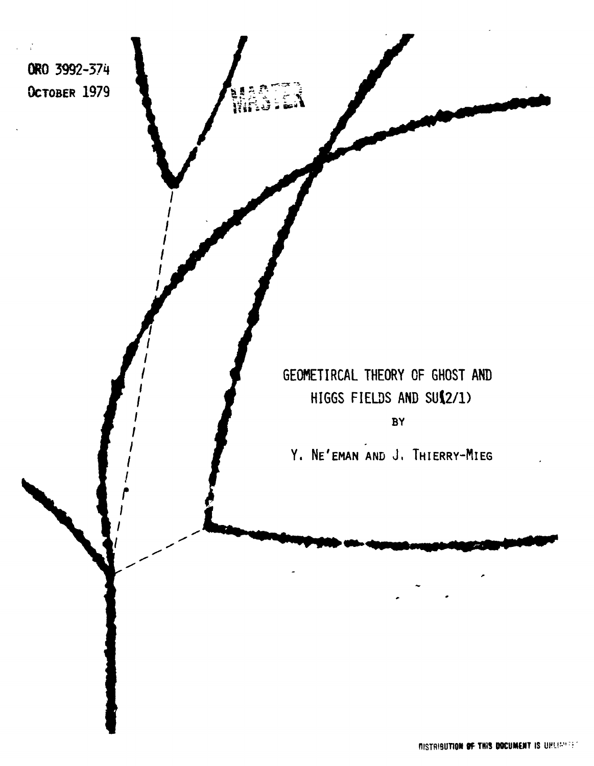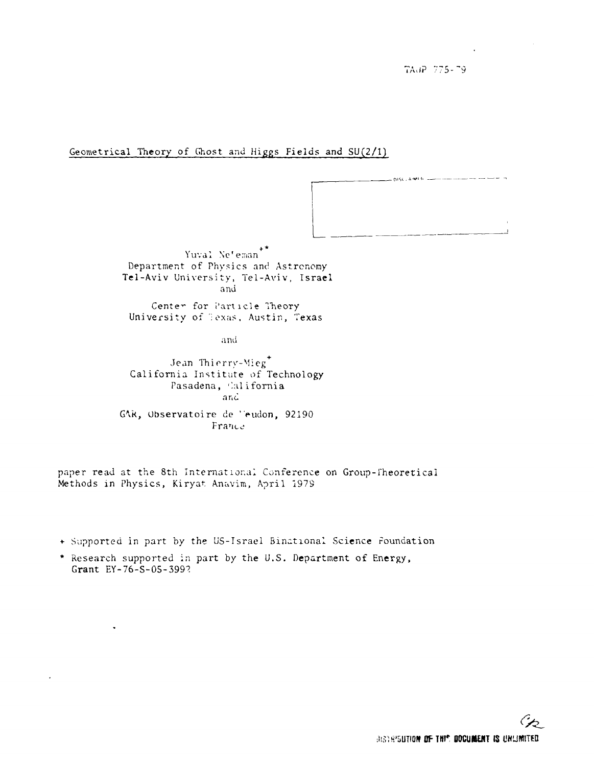TAdP 775-79

## Geometrical Theory of Ghost and Higgs Fields and SU(2/1)

Yuval Ne'eman Department of Physics and Astronomy Tel-Aviv University, Tel-Aviv, Israel and Center for Particle Theory

University of Texas, Austin, Texas

and

Jean Thierry-Mieg<sup>+</sup> California Institute of Technology Pasadena, California and GAR, Observatoire de l'eudon, 92190 France

paper read at the 8th International Conference on Group-Theoretical Methods in Physics, Kiryat Anavim, April 1979

- + Supported in part by the US-Israel Binational Science Foundation
- \* Research supported in part by the U.S. Department of Energy, Grant  $EY - 76 - S - 05 - 399$ ?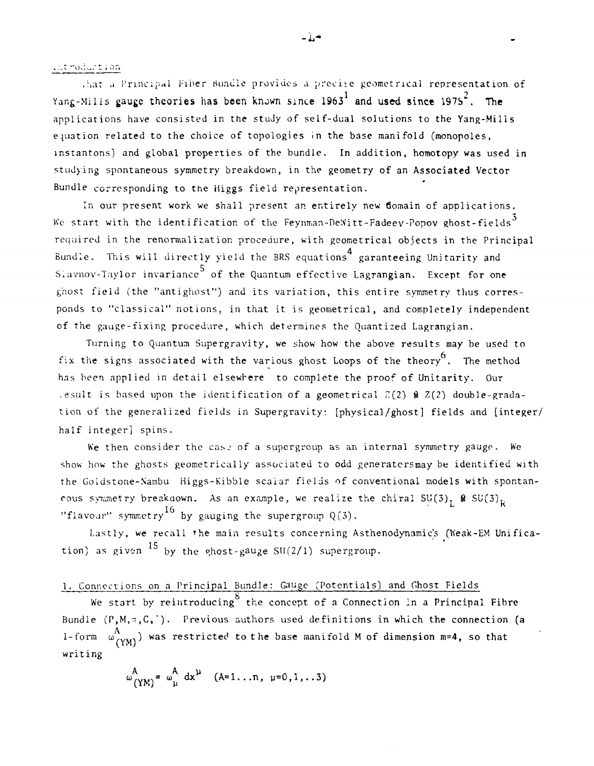i :.t t i on

.hat a Principal Fiber Bundle provides a precise geometrical representation of Yang-Milis gauge theories has been known since 1963<sup>1</sup> and used since 1975<sup>2</sup>. The applications have consisted in the study of self-dual solutions to the Yang-Mills equation related to the choice of topologies in the base manifold (monopoles, instantons) and global properties of the bundle. In addition, homotopy was used in studying spontaneous symmetry breakdown, in the geometry of an Associated Vector Bundle corresponding to the Higgs field representation.

In our present work we shall present an entirely new domain of applications. We start with the identification of the Feynman-DeWitt-Fadeev-Popov ghost-fields $^{\rm 5}$ required in the renormalization procedure, with geometrical objects in the Principal 4 Bundle. This will directly yield the BRS equations garanteeing Unitarity and Slavnov-Taylor invariance<sup>5</sup> of the Quantum effective Lagrangian. Except for one ghost field (the "antighost") and its variation, this entire symmetry thus corresponds to "classical" notions, in that it is geometrical, and completely independent of the gauge-fixing procedure, which determines the Quantized Lagrangian.

Turning to Quantum Supergravity, we show how the above results may be used to fix the signs associated with the various ghost Loops of the theory<sup>6</sup>. The method has been applied in detail elsewhere to complete the proof of Unitarity. Our .esult is based upon the identification of a geometrical  $Z(2)$   $\theta$   $Z(2)$  double-gradation of the generalized fields in Supergravity: [physical/ghost] fields and [integer/ half integer] spins.

We then consider the case of a supergroup as an internal symmetry gauge. We show how the ghosts geometrically associated to odd generatersmay be identified with the Goldstone-Nambu Higgs-Kibble scalar fields of conventional models with spontancous symmetry breakdown. As an example, we realize the chiral  $SU(3)$ ,  $\Omega$   $SU(3)$ <sub>k</sub> "flavour" symmetry  $16$  by gauging the supergroup  $Q(3)$ .

Lastly, we recall the main results concerning Asthenodynamic's (Weak-EM Unification) as given  $^{15}$  by the ghost-gauge SU(2/1) supergroup.

## 1. Connections on a Principal Bundle: Gauge (Potentials) and Ghost Fields

We start by reintroducing  $\delta$  the concept of a Connection in a Principal Fibre Bundle  $(P, M, \pi, C, \cdot)$ . Previous authors used definitions in which the connection (a 1-form  $\omega_{(YM)}^A$ ) was restricted to the base manifold M of dimension m=4, so that writing

$$
\omega_{(YM)}^A = \omega_{\mu}^A dx^{\mu} \quad (A=1...n, \ \mu=0,1...3)
$$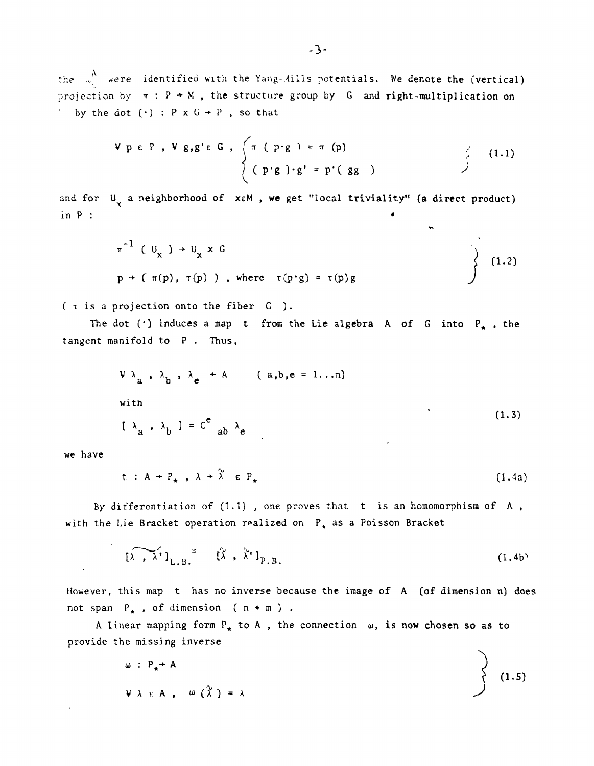the  $\frac{A}{w_{11}}$  were identified with the Yang-Mills potentials. We denote the (vertical) projection by  $\pi$ :  $P \rightarrow M$ , the structure group by G and right-multiplication on by the dot  $(\cdot)$  : P x  $G + P$ , so that

$$
V p \in P, V g, g' \in G, \quad\n\begin{cases}\n\pi (p \cdot g) = \pi (p) \\
(p \cdot g) \cdot g' = p' (gg)\n\end{cases}
$$
\n(1.1)

and for  $U_{\mathbf{y}}$  a neighborhood of xeM, we get "local triviality" (a direct product) **in P : •**

$$
\pi^{-1}
$$
 (  $U_x$  )  $\rightarrow$   $U_x$  x G  
\n $p \rightarrow (\pi(p), \tau(p))$ , where  $\tau(p \cdot g) = \tau(p)g$  (1.2)

v\*.

**( t is a projection onto the fiber C ).**

The dot  $(')$  induces a map t from the Lie algebra A of G into  $P_*$ , the **tangent manifold to P . Thus,**

$$
\begin{aligned}\n\mathbf{V} \lambda_{a} , \lambda_{b} , \lambda_{e} &+ A \qquad (a, b, e = 1...n) \\
\text{with} \\
\mathbf{V} \lambda_{a} , \lambda_{b} \end{aligned} \tag{1.3}
$$

**we have**

 $\sim 100$ 

 $\mathcal{L}$ 

$$
t : A \to P_{\star} , \lambda \to \tilde{\lambda} \in P_{\star}
$$
 (1.4a)

**By differentiation of (1.1) , one proves that t is an homomorphism of A ,** with the Lie Bracket operation realized on P<sub>\*</sub> as a Poisson Bracket

$$
\left[\lambda \cdot \lambda^{\dagger}\right]_{L.B.} = \left[\lambda \cdot \lambda^{\dagger}\right]_{P.B.}
$$
 (1.4b)

**However, this map t has no inverse because the image of A (of dimension n) does** not span  $P_*$ , of dimension ( $n + m$ ).

A linear mapping form  $P_*$  to A, the connection  $\omega$ , is now chosen so as to **provide the missing inverse** $\ddot{\phantom{0}}$ 

$$
\omega : P_{\star} \rightarrow A
$$
\n
$$
\omega \wedge \varepsilon A, \quad \omega (\lambda) = \lambda
$$
\n(1.5)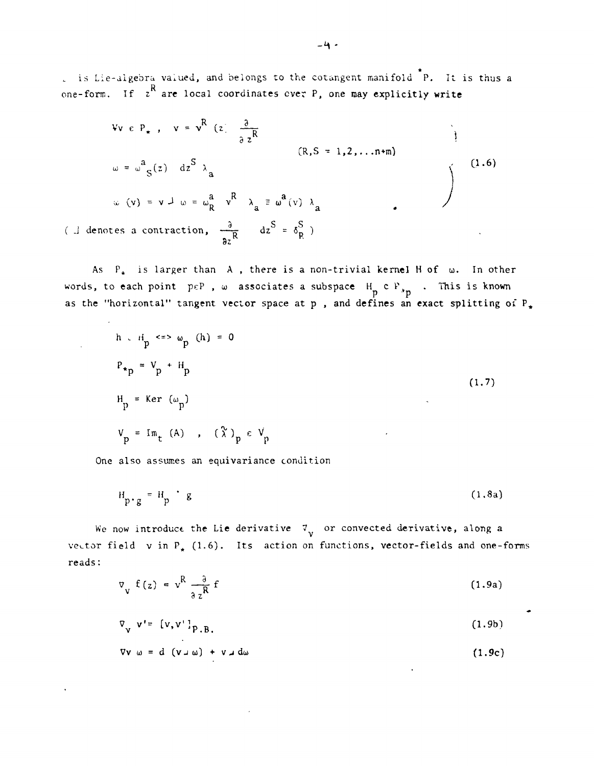\* is Lie-digebra valued, and belongs to the cotangent manifold P. It is thus a one-form. If  $z^R$  are local coordinates ever P, one may explicitly write

$$
\begin{aligned}\n\text{Vv } e P_{\star} , \quad \text{v} &= \mathbf{v}^{\mathbf{R}} \text{ (z)} \frac{\partial}{\partial z^{\mathbf{R}}} \\
\omega &= \omega^{a}{}_{S}(z) \quad dz^{S} \quad \lambda_{a} \\
\omega \text{ (v)} &= \mathbf{v} \perp \omega = \omega^{a}_{R} \quad \mathbf{v}^{\mathbf{R}} \quad \lambda_{a} \equiv \omega^{a} \text{ (v)} \quad \lambda_{a} \\
\text{(L denotes a contraction, } \frac{\partial}{\partial z^{R}} \quad dz^{S} &= \delta^{S}_{R}\text{ )}\n\end{aligned}\n\tag{1.6}
$$

As  $P_*$  is larger than A, there is a non-trivial kernel H of  $\omega$ . In other words, to each point  $p \in P$  ,  $\omega$  associates a subspace  $H_n \subset P_{n-1}$  . This is known as the "horizontal" tangent vector space at p , and defines an exact splitting of P<

$$
h \cdot H_{p} \iff \omega_{p} \quad (h) = 0
$$
\n
$$
P_{\star p} = V_{p} + H_{p}
$$
\n
$$
H_{p} = \text{Ker} \quad (\omega_{p})
$$
\n
$$
V_{p} = \text{Im}_{t} \quad (A) \quad , \quad (\lambda)_{p} \in V_{p}
$$
\n(1.7)

One also assumes an equivariance condition

$$
H_{p \cdot g} = H_p \cdot g \tag{1.8a}
$$

We now introduce the Lie derivative  $\mathcal{I}_{\mathbf{y}}$  or convected derivative, along a vector field v in  $P_{*}$  (1.6). Its action on functions, vector-fields and one-forms reads:

$$
\nabla_{\mathbf{v}} \mathbf{f}(z) = \mathbf{v}^{\mathbf{R}} \frac{\partial}{\partial z^{\mathbf{R}}} \mathbf{f}
$$
 (1.9a)

$$
\nabla_{\mathbf{v}} \mathbf{v'} = [\mathbf{v}, \mathbf{v'}]_{\mathbf{p}, \mathbf{B}} \tag{1.9b}
$$

 $\nabla v \omega = d (v \omega) + v \omega d\omega$  (1.9c)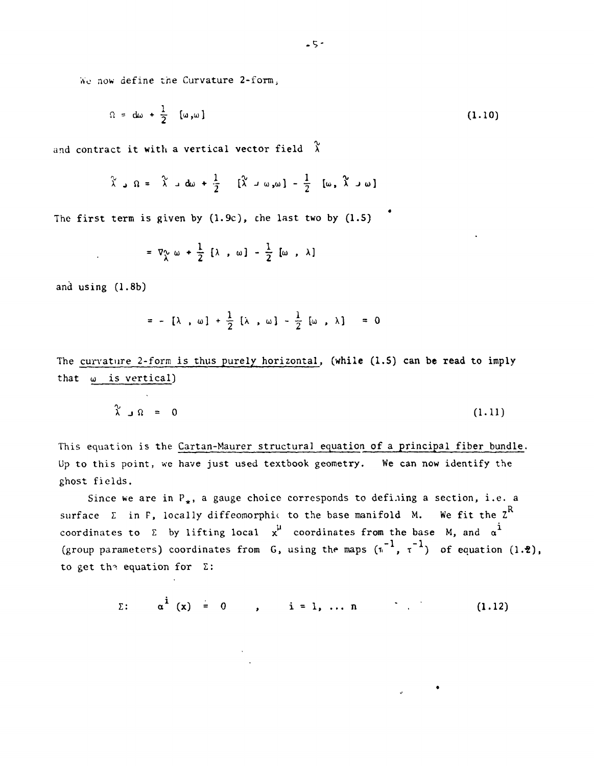**Wo now define the Curvature 2-form;**

$$
\Omega = d\omega + \frac{1}{2} [\omega, \omega]
$$
 (1.10)

*4*

and contract it with a vertical vector field  $\chi$ 

$$
\hat{\lambda} = \hat{\lambda} - \hat{\omega} + \frac{1}{2} \quad [\hat{\lambda} - \omega, \omega] - \frac{1}{2} \quad [\omega, \hat{\lambda} - \omega]
$$

**The first term is given by (1.9c), che last two by (1.5)**

$$
= \nabla^{\mathcal{L}}_{\lambda} \omega + \frac{1}{2} [\lambda , \omega] - \frac{1}{2} [\omega , \lambda]
$$

**and using (1.8b)**

 $\sim$ 

$$
= - [\lambda , \omega] + \frac{1}{2} [\lambda , \omega] - \frac{1}{2} [\omega , \lambda] = 0
$$

**The curvature 2-form is thus purely horizontal, (while (1.5) can** be **read to imply that oi is vertical)**

$$
\chi \quad \Omega = 0 \tag{1.11}
$$

**This equation is the Cartan-Maurer structural equation of a principal fiber bundle. Up to this point, we have just used textbook geometry. We can now identify the ghost fields.**

Since we are in P<sub>+</sub>, a gauge choice corresponds to defining a section, i.e. a surface  $\Sigma$  in F, locally diffeomorphic to the base manifold M. We fit the  $Z^R$ coordinates to  $\Sigma$  by lifting local  $\chi^{\mu}$  coordinates from the base M, and  $\alpha^{\dot{\mu}}$ (group parameters) coordinates from G, using the maps  $(\pi^{-1}, \tau^{-1})$  of equation  $(1.2)$ , to get the equation for Σ:

 $\Sigma: \alpha^{i} (x) = 0$ ,  $i = 1, ..., n$  (1.12)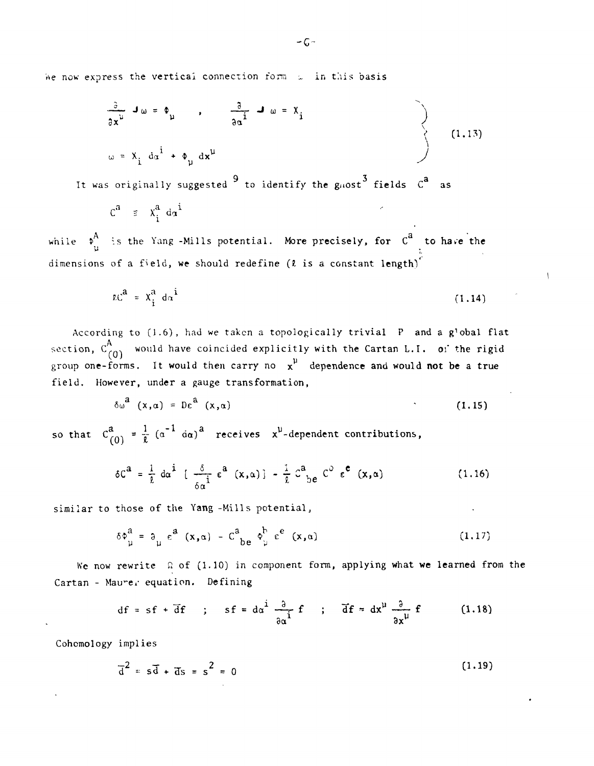We now express the vertical connection form  $\omega$  in this basis

$$
\frac{\partial}{\partial x^{\mu}} \mathbf{J} \omega = \phi_{\mu} \qquad , \qquad \frac{\partial}{\partial \alpha^{i}} \mathbf{J} \omega = X_{i}
$$
\n
$$
\omega = X_{i} d\alpha^{i} + \phi_{\mu} d\mathbf{x}^{\mu}
$$
\n(1.13)

It was originally suggested  $9$  to identify the gnost  $3$  fields  $C^2$  as

$$
c^a = x_i^a \, d\alpha^i
$$

while  $\phi^A_u$  is the Yang -Mills potential. More precisely, for  $C^A$  to have the dimensions of a field, we should redefine ( $\ell$  is a constant length)<sup>"</sup>

$$
LC^a = X_i^a d\alpha^i \tag{1.14}
$$

 $\mathcal{L}$ 

According to (1.6), had we taken a topologically trivial P and a g'obal flat section,  $C_{(0)}^A$  would have coincided explicitly with the Cartan L.I. of the rigid group one-forms. It would then carry no  $x^{\mu}$  dependence and would not be a true field. However, under a gauge transformation,

$$
\delta \omega^{\mathbf{d}} \left( \mathbf{x}, \alpha \right) = \mathbf{D} \epsilon^{\mathbf{d}} \left( \mathbf{x}, \alpha \right) \tag{1.15}
$$

so that  $C_{(0)}^a = \frac{1}{\ell} (a^{-1} a a)^a$  receives  $x^{\mu}$ -dependent contributions,

$$
\delta C^{a} = \frac{1}{\ell} d\alpha^{\dot{1}} \left[ \frac{\delta}{\delta a^{\dot{1}}} \epsilon^{a} (x, \alpha) \right] - \frac{1}{\ell} C^{a}{}_{b} e^{C^{0}} \epsilon^{c} (x, \alpha) \qquad (1.16)
$$

similar to those of the Yang -Mills potential,

$$
\delta \phi_{\mu}^{a} = \partial_{\mu} \epsilon^{a} (x, \alpha) - C_{be}^{a} \phi_{\mu}^{b} \epsilon^{e} (x, \alpha)
$$
 (1.17)

We now rewrite  $\Omega$  of (1.10) in component form, applying what we learned from the Cartan - Maurer equation. Defining

$$
df = sf + \overline{df} \quad ; \quad sf = d\alpha^i \frac{\partial}{\partial \alpha^i} f \quad ; \quad \overline{df} = dx^{\mu} \frac{\partial}{\partial x^{\mu}} f \quad (1.18)
$$

Cohomology implies

$$
\overline{d}^2 = s\overline{d} + \overline{d}s = s^2 = 0
$$
 (1.19)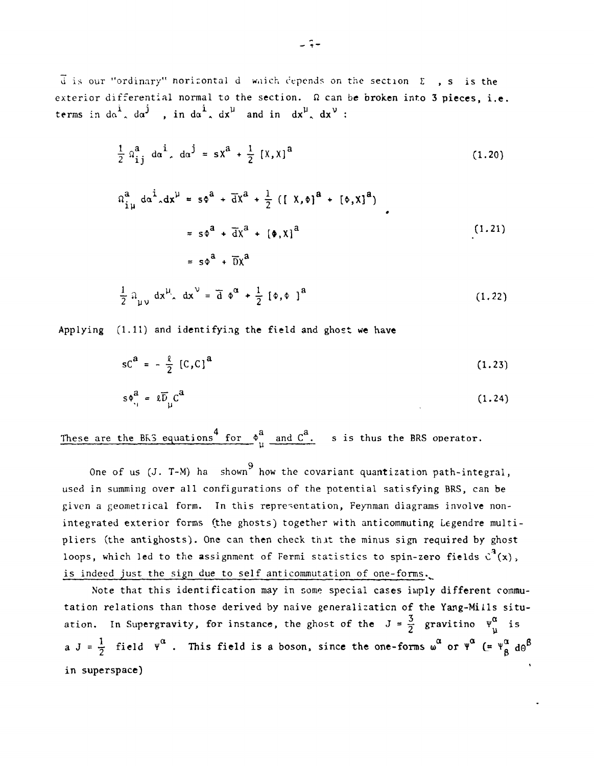$\vec{u}$  is our "ordinary" horizontal d which cepends on the section  $\Sigma$ , s is the exterior differential normal to the section.  $\Omega$  can be broken into 3 pieces, i.e. terms in  $d\alpha^1$ ,  $d\alpha^j$ , in  $d\alpha^1$ ,  $dx^{\mu}$  and in  $dx^{\mu}$ ,  $dx^{\nu}$ :

$$
\frac{1}{2} \Omega_{ij}^{a} d\alpha^{i} d\alpha^{j} = s \chi^{a} + \frac{1}{2} [X, \chi]^{a}
$$
 (1.20)

$$
\Omega_{i\mu}^{a} d\alpha^{i}{}_{\alpha} dx^{\mu} = s\phi^{a} + \overline{d}X^{a} + \frac{1}{2} ([X, \phi]^{a} + [\phi, X]^{a})
$$
  

$$
= s\phi^{a} + \overline{d}X^{a} + [\phi, X]^{a}
$$
  

$$
= s\phi^{a} + \overline{D}X^{a}
$$
 (1.21)

$$
\frac{1}{2} \, \Omega_{\mu\nu} \, dx^{\mu} \, dx^{\nu} = \overline{d} \, \phi^{\alpha} + \frac{1}{2} \, [\phi, \phi]^{a} \tag{1.22}
$$

Applying (1.11) and identifying the field and ghost we have

$$
sCa = -\frac{g}{2} [C, C]a
$$
 (1.23)

$$
s\phi_{ij}^a = \ell \overline{D}_{ji} C^a \tag{1.24}
$$

These are the BRS equations  $\int_{\mu}^{4}$  for  $\phi_{\mu}^{a}$  and  $C^{a}$ . s is thus the BRS operator.

9 One of us (J. T-M) ha shown how the covariant quantization path-integral, used in summing over all configurations of the potential satisfying BRS, can be given a geometrical form. In this representation, Feynman diagrams involve nonintegrated exterior forms (the ghosts) together with anticommuting Legendre multipliers (the antighosts). One can then check that the minus sign required by ghost loops, which led to the assignment of Fermi statistics to spin-zero fields  $c^2(x)$ , is indeed just the sign due to self anticommutation of one-forms.

Note that this identification may in some special cases imply different commu tation relations than those derived by naive generalization of the Yang-Mills situ ation. In Supergravity, for instance, the ghost of the  $J = \frac{3}{2}$  gravitino  $\Psi_{ij}^{\alpha}$  is **a**  $J = \frac{1}{2}$  field  $Y^{\alpha}$ . This field is a boson, since the one-forms  $\omega^{\alpha}$  or  $Y^{\alpha}$  (=  $Y^{\alpha}_{\beta}$  d $\Theta$ **in superspace)**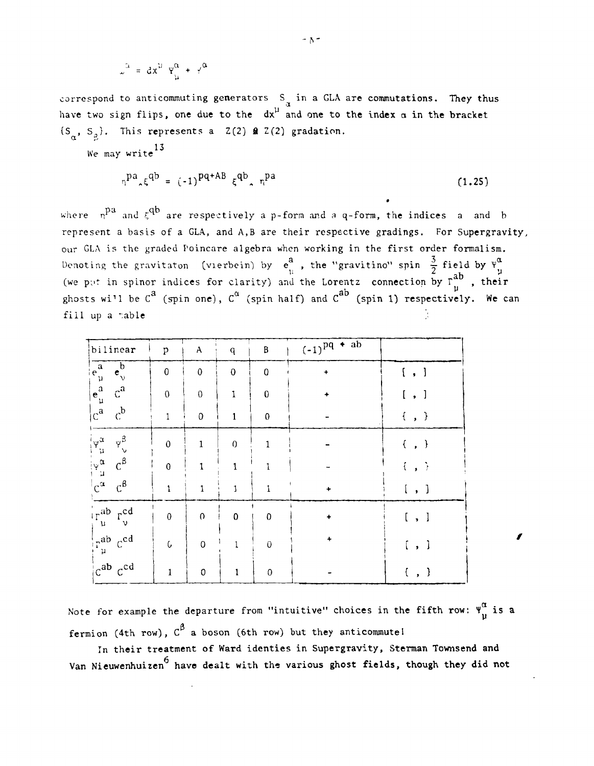$$
\omega^{\alpha} = dx^{\mu} \Psi^{\alpha}_{\mu} + y^{\alpha}
$$

correspond to anticommuting generators  $S_{\alpha}$  in a GLA are commutations. They thus have two sign flips, one due to the  $dx^{\mu}$  and one to the index  $\alpha$  in the bracket  ${S_{\alpha}}$ ,  ${S_{\alpha}}$ . This represents a Z(2) **a** Z(2) gradation.

We may write  $13$ 

$$
n^{pa} \xi^{qb} = (-1)^{pq + AB} \xi^{qb} \xi^{rq} \qquad (1.25)
$$

•

where  $n^{\text{P}}$  and  $\xi^{\text{QP}}$  are respectively a p-form and a q-form, the indices a and b represent a basis of a GLA, and A,B are their respective gradings. For Supergravity, our GLA is the graded Poincare algebra when working in the first order formalism. Denoting the gravitaton (vierbein) by  $e^a$  , the "gravitino" spin  $\frac{3}{2}$  field by (we put in spinor indices for clarity) and the Lorentz connection by  $r^{ab}$ , their ghosts wi'l be  $C^a$  (spin one),  $C^{\alpha}$  (spin half) and  $C^{ab}$  (spin 1) respectively. We can fill up a table

| bilinear                                                                                                                                                                                                                                                                                                     | $\, {\bf p}$     | $\mathbf{A}$   | $\mathbf q$      | $\, {\bf B}$   | $(-1)^{pq}$ + ab     |             |
|--------------------------------------------------------------------------------------------------------------------------------------------------------------------------------------------------------------------------------------------------------------------------------------------------------------|------------------|----------------|------------------|----------------|----------------------|-------------|
| $\overline{e_{\nu}^{b}}$                                                                                                                                                                                                                                                                                     | $\mathbf 0$      | $\mathbf 0$    | $\overline{0}$   | $\mathbf 0$    | $\ddot{\phantom{1}}$ | [ , ]       |
| $\begin{bmatrix} e^a \\ e^a \\ e^a \\ e^a \end{bmatrix}$<br>$c^a$                                                                                                                                                                                                                                            | $\boldsymbol{0}$ | $\overline{0}$ | $\mathbf 1$      | $\pmb{0}$      |                      | [ , ]       |
| $\mathbf{c}^\mathbf{b}$                                                                                                                                                                                                                                                                                      | $\mathbf 1$      | $\mathbf 0$    | $\mathbf{1}$     | $\pmb{0}$      |                      | $\{ , \}$   |
| $\begin{array}{c} \Psi^{\beta}_{\nu} \\ C^{\beta} \end{array}$                                                                                                                                                                                                                                               | $\pmb{0}$        | $\mathbf{1}$   | $\boldsymbol{0}$ | $\mathbf{1}$   |                      | $\{ , \}$   |
| $\begin{array}{c c}\n\hline\n\epsilon & \mu & \mu \\ \hline\n\epsilon & \mu & \mu\n\end{array}$                                                                                                                                                                                                              | $\mathbf 0$      | $\mathbf{1}$   | $\mathbf{1}$     |                |                      | $\{\ ,\ \}$ |
| $c^{\beta}$                                                                                                                                                                                                                                                                                                  | $\mathbf{1}$     | $\mathbf{1}$   | $\mathbf{1}$     |                | ۰                    | [ , ]       |
| $\begin{array}{c}\n\overline{\left(\begin{array}{ccccc}\n\Gamma^{\text{ab}} & \Gamma^{\text{cd}}_{\text{u}}\n\end{array}\right)} \\ \uparrow^{\text{ab}} & \downarrow^{\text{cd}} \\ \Gamma^{\text{ab}} & \downarrow^{\text{cd}} \\ \text{c}^{\text{ab}} & \downarrow^{\text{cd}}\n\end{array}\n\end{array}$ | $\mathbf 0$      | $\mathbf{0}$   | $\mathbf 0$      | $\mathbf 0$    | $\ddot{}$            | $[\ ,\ ]$   |
|                                                                                                                                                                                                                                                                                                              | $\mathfrak{c}$   | $\overline{0}$ | $\mathbf{1}$     | $\overline{0}$ |                      | [ , ]       |
|                                                                                                                                                                                                                                                                                                              | $\mathbf{1}$     | $\pmb{0}$      | $\mathbf{1}$     | $\pmb{0}$      |                      | $\{ , \}$   |

Note for example the departure from "intuitive" choices in the fifth row:  $\Psi_{n}^{\alpha}$  is a fermion (4th row),  $\texttt{C}^{\beta}$  a boson (6th row) but they anticommute!

In their treatment of Ward identies in Supergravity, Sterman Townsend and Van Nieuwenhuizen<sup>6</sup> have dealt with the various ghost fields, though they did not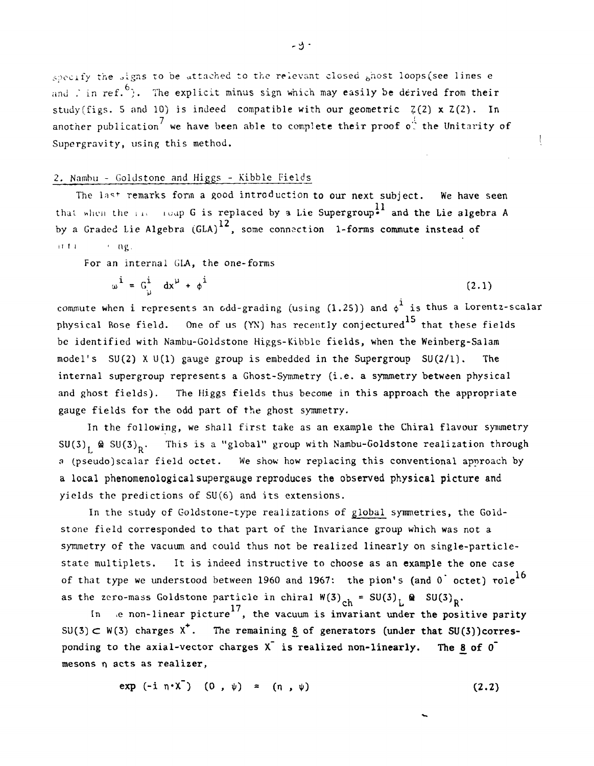specify the signs to be attached to the relevant closed ghost loops (see lines e and in ref.<sup>6</sup>). The explicit minus sign which may easily be derived from their study(figs. 5 and 10) is indeed compatible with our geometric  $Z(2) \times Z(2)$ . In another publication<sup>'</sup> we have been able to complete their proof  $o^{\frac{1}{n}}$  the Unitarity of Supergravity, using this method.

## 2. Nambu - Goldstone and Higgs - Kibble Fields

The last remarks form a good introduction to our next subject. We have seen that when the incomponent is replaced by a Lie Supergroup<sup>11</sup> and the Lie algebra A by a Graded Lie Algebra (GLA)<sup>12</sup>, some connection 1-forms commute instead of if  $t$  i  $t$  i  $\alpha$ g.

For an internal GLA, the one-forms

$$
\omega^{\dot{1}} = G_{\dot{\mu}}^{\dot{1}} dx^{\mu} + \phi^{\dot{1}} \tag{2.1}
$$

commute when i represents an odd-grading (using  $(1.25)$ ) and  $\phi^{\text{1}}$  is thus a Lorentz-scalar physical Bose field. One of us  $(YN)$  has recently conjectured  $^{15}$  that these fields be identified with Nambu-Goldstone Higgs-Kibble fields, when the Weinberg-Salam model's SU(2) X U(1) gauge group is embedded in the Supergroup SU(2/1). The internal supergroup represents a Ghost-Symmetry (i.e. a symmetry between physical and ghost fields). The Higgs fields thus become in this approach the appropriate gauge fields for the odd part of the ghost symmetry.

In the following, we shall first take as an example the Chiral flavour symmetry  ${\tt SU(3)}_{\rm L}$  &  ${\tt SU(3)}_{\rm R}$ . This is a "global" group with Nambu-Goldstone realization through a (pseudo)scalar field octet. We show how replacing this conventional approach by a local phenomenological supergauge reproduces the observed physical picture and yields the predictions of SU(6) and its extensions.

In the study of Goldstone-type realizations of global symmetries, the Goldstone field corresponded to that part of the Invariance group which was not a symmetry of the vacuum and could thus not be realized linearly on single-particlestate multiplets. It is indeed instructive to choose as an example the one case of that type we understood between 1960 and 1967: the pion's (and  $0^{\degree}$  octet) role<sup>16</sup> as the zero-mass Goldstone particle in chiral  $W(3)_{ch} = SU(3)_{L} \otimes SU(3)_{R}$ .

In , e non-linear picture<sup>17</sup>, the vacuum is invariant under the positive parity  $SU(3) \subset W(3)$  charges  $X^*$ . The remaining 8 of generators (under that SU(3))corresponding to the axial-vector charges  $X^{\dagger}$  is realized non-linearly. The 8 of  $0^{\dagger}$ mesons n acts as realizer,

$$
\exp(-i n \cdot X) (0, \psi) = (n, \psi) \qquad (2.2)
$$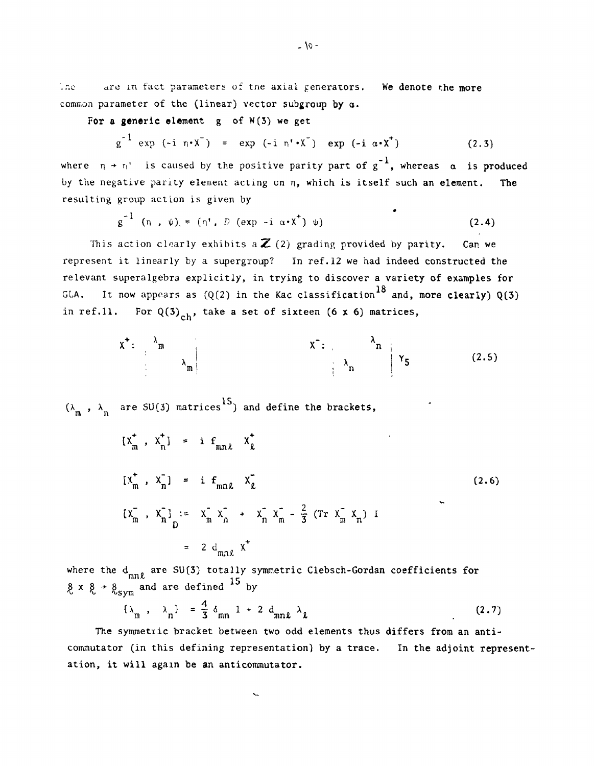The are in fact parameters of the axial generators. We denote the more common parameter of the (linear) vector subgroup by a.

For a generic element  $g$  of  $W(3)$  we get

$$
g^{-1} \exp (-i \eta \cdot X^{-}) = \exp (-i \eta \cdot X^{-}) \exp (-i \alpha \cdot X^{+})
$$
 (2.3)

where  $n + n'$  is caused by the positive parity part of  $g^{-1}$ , whereas  $\alpha$  is produced by the negative parity element acting cn n, which is itself such an element. The resulting group action is given by

$$
g^{-1} \quad (\eta \quad , \quad \psi) = (\eta' \quad , \quad D \quad (exp \quad -i \quad \alpha \cdot \chi^+) \quad \psi)
$$
 (2.4)

This action clearly exhibits a  $\mathbb{Z}$  (2) grading provided by parity. Can we represent it linearly by a supergroup? In ref.12 we had indeed constructed the relevant superalgebra explicitly, in trying to discover a variety of examples for GLA. It now appears as  $(Q(2)$  in the Kac classification<sup>18</sup> and, more clearly)  $Q(3)$ in ref.11. For  $Q(3)_{ch}$ , take a set of sixteen (6 x 6) matrices,

$$
x^+ : \begin{array}{c} \lambda_m \\ \lambda_m \end{array}
$$
  $x^- : \begin{array}{c} \lambda_n \\ \lambda_n \end{array}$   $\gamma_5$  (2.5)

15,  $\binom{m}{m}$ ,  $\lambda$  are SU(3)

$$
[x_{m}^{+}, x_{n}^{+}] = i f_{mn\ell} x_{\ell}^{+}
$$
  
\n
$$
[x_{m}^{+}, x_{n}^{-}] = i f_{mn\ell} x_{\ell}^{-}
$$
  
\n
$$
[x_{m}^{-}, x_{n}^{-}] := x_{m}^{-} x_{n}^{-} + x_{n}^{-} x_{m}^{-} - \frac{2}{3} (\text{Tr } x_{m}^{-} x_{n})
$$
  
\n
$$
= 2 d_{mn\ell} x^{+}
$$
 (2.6)

where the  $d_{mn\ell}$  are SU(3) totally symmetric Clebsch-Gordan coefficients for  $8 \times 8 \div 8$  and are defined  $\sim$  by

$$
\{\lambda_m, \lambda_n\} = \frac{4}{3} \delta_{mn} 1 + 2 d_{mn} \lambda_k
$$
 (2.7)

The symmetric bracket between two odd elements thus differs from an anticommutator (in this defining representation) by a trace. In the adjoint representation, it will again be an anticommutator.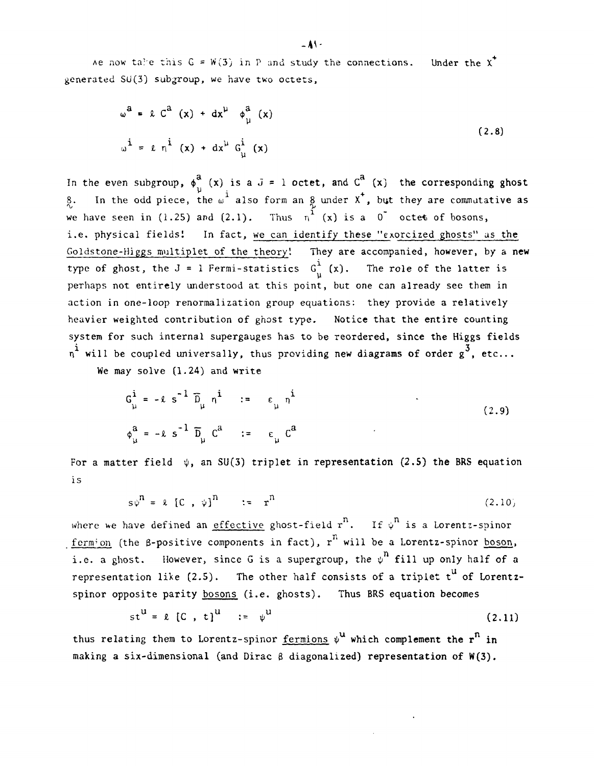Ae now take this  $G = W(3)$  in P and study the connections. Under the X<sup>+</sup> **generated SU(3) subgroup, we have two octets,**

$$
\omega^{a} = \ell C^{a} (x) + dx^{\mu} \phi_{\mu}^{a} (x)
$$
  

$$
\omega^{i} = \ell \eta^{i} (x) + dx^{\mu} G_{\mu}^{i} (x)
$$
 (2.8)

In the even subgroup,  $\phi^a$  (x) is a  $J = 1$  octet, and  $C^a$  (x) the corresponding ghost 8. In the odd piece, the w<sup>i</sup> also form an 8 under X<sup>+</sup>, but they are commutative as we have seen in (1.25) and (2.1). Thus  $n^1$  (x) is a 0 octet of bosons, **i.e. physical fields! In fact, we can identify these "exorcized ghosts" as the Goldstone-Higgs multiplet of the theory'. They are accompanied, however, by a new** type of ghost, the  $J = 1$  Fermi-statistics  $G^i_{ij}(x)$ . The role of the latter is **perhaps not entirely understood at this point, but one can already see them in action in one-loop renormalization group equations: they provide a relatively heavier weighted contribution of ghost type. Notice that the entire counting system for such internal supergauges has to be reordered, since the Higgs fields** <sup>1</sup> will be coupled universally, thus providing new diagrams of order g<sup>3</sup>, etc...

We may solve  $(1.24)$  and write

$$
G_{\mu}^{\dot{a}} = -\ell s^{-1} \overline{D}_{\mu} n^{\dot{a}} := \epsilon_{\mu} n^{\dot{a}}
$$
  
\n
$$
\phi_{\mu}^{\dot{a}} = -\ell s^{-1} \overline{D}_{\mu} C^{\dot{a}} := \epsilon_{\mu} C^{\dot{a}}
$$
 (2.9)

For a matter field  $\psi$ , an SU(3) triplet in representation (2.5) the BRS equation **is**

$$
s\psi^{n} = \ell \left[ C , \psi \right]^{n} := r^{n} \tag{2.10}
$$

where we have defined an effective ghost-field  $r^n$ . If  $\psi^n$  is a Lorentz-spinor fermion (the **ß-positive components in fact**), r<sup>n</sup> will be a Lorentz-spinor boson, i.e. a ghost. However, since G is a supergroup, the  $\psi^{n}$  fill up only half of a representation like (2.5). The other half consists of a triplet t<sup>u</sup> of Lorentz**spinor opposite parity bosons (i.e. ghosts). Thus BRS equation becomes**

$$
st^u = \ell [C, t]^u := \psi^u
$$
 (2.11)

thus relating them to Lorentz-spinor fermions  $\psi^{\mathbf{u}}$  which complement the  $\mathbf{r}^{\mathbf{n}}$  in **making a six-dimensional (and Dirac 0 diagonalized) representation of W(3).**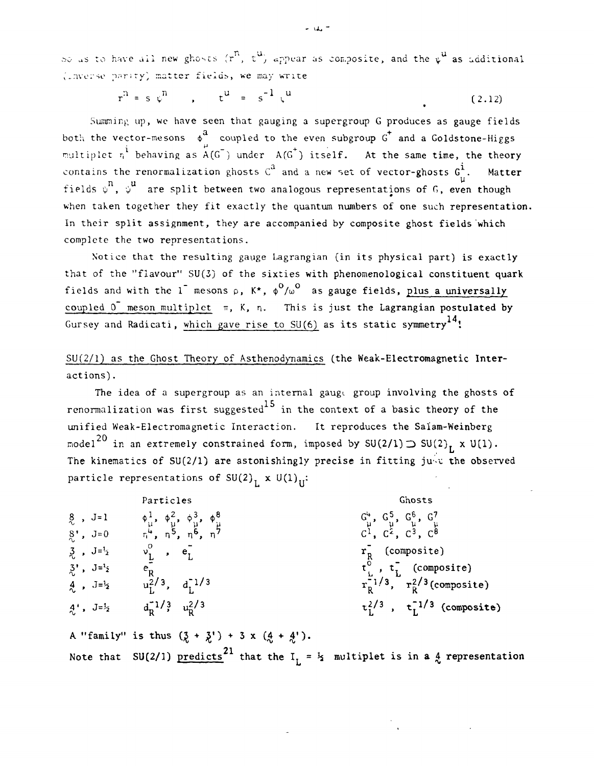$\infty$  as to have all new ghosts  $(r^n, t^u)$  appear as composite, and the  $\psi^u$  as additional **V'.nve:'se** p^riTy', matter **fields,** we may write

$$
r^{n} = s \psi^{n}
$$
,  $t^{u} = s^{-1} \psi^{u}$  (2.12)

Summing up, wc have seen that gauging a supergroup G produces as gauge fields both the vector-mesons  $\phi^{\text{a}}$  coupled to the even subgroup G<sup>+</sup> and a Goldstone-Higgs multiplet  $n^i$  behaving as  $A(G^-)$  under  $A(G^+)$  itself. At the same time, the theory contains the renormalization ghosts  $C^2$  and a new set of vector-ghosts  $G^{\mathbf{i}}_{\mu}$ . Matter fields  $\stackrel{\shortparallel}{\psi}^{\textbf{n}}$ ,  $\stackrel{\shortparallel}{\psi}^{\textbf{u}}$  are split between two analogous representations of G, even though when taken together they fit exactly the quantum numbers of one such representation. In their split assignment, they are accompanied by composite ghost fields which complete the two representations.

Notice that the resulting gauge Lagrangian (in its physical part) is exactly that of the "flavour" SU(3) of the sixties with phenomenological constituent quark fields and with the 1<sup>-</sup> mesons  $\rho$ , K<sup>\*</sup>,  $\phi^0/w^0$  as gauge fields, plus a universally coupled  $0^-$  meson multiplet  $\pi$ , K, n. This is just the Lagrangian postulated by Gursey and Radicati, which gave rise to SU(6) as its static symmetry<sup>14</sup>!

SU(2/1) as the Ghost Theory of Asthenodynamics (the Weak-Electromagnetic Interactions) .

The idea of a supergroup as an internal gauge group involving the ghosts of renormalization was first suggested<sup>15</sup> in the context of a basic theory of the unified Weak-Electromagnetic Interaction. It reproduces the Salam-Weinberg model $^{20}$  in an extremely constrained form, imposed by SU(2/1)  $\supset$  SU(2)  $_{\rm L}$  x U(1). The kinematics of SU(2/1) are astonishingly precise in fitting ju $\sqrt{v}$  the observed particle representations of SU(2)<sub>L</sub> x U(1)<sub>U</sub>:

Particles Ghosts<br>  $\phi_{\mu}^{1}, \phi_{\mu}^{2}, \phi_{\mu}^{3}, \phi_{\mu}^{8}$ <br>  $\phi_{\mu}^{4}, \eta^{5}, \eta^{6}, \eta^{7}$ <br>  $\phi_{\mu}^{4}, \eta^{5}, \eta^{6}, \eta^{7}$ <br>  $C^{1}, C^{2}, C^{3}, C^{8}$ 8 , J=1 4,1, \$2, <j>3, <b8 G \ G 5, G6, G7 ^ u y y y y y y v  $8$ ', J=0  $\pi^4$ , n<sup>5</sup>, n<sup>6</sup>, n<sup>7</sup> c<sup>1</sup>, C<sup>2</sup>, C<sup>2</sup>, C<sup>3</sup>, C<sup>8</sup>  $3$ ,  $J=f_2$   $v_1^2$ ,  $e_1$   $r_2$   $r_3$  (composite) 3' , J=4 e" t° , t~ (composite)  $\frac{4}{\lambda}$ ,  $J=\frac{1}{2}$   $u_L^{2/3}$ ,  $d_L^{1/3}$   $u_L^{1/3}$   $u_R^{2/3}$  (composite)  $4^{\prime}$ ,  $J=\frac{1}{2}$   $d_R^{-1/3}$   $u_R^2/3$   $t_L^{-1/3}$ ,  $t_L^{-1/3}$  (composite) *A* "family" is thus  $(\frac{7}{6} + \frac{7}{6}) + 3 \times (\frac{4}{6} + \frac{4}{6})$ .

Note that SU(2/1)  $\text{predicts}^{\text{21}}$  that the  $\text{I}^{\text{}}_{\text{L}}$  =  $\frac{1}{2}$  multiplet is in a  $\frac{1}{\lambda}$  representation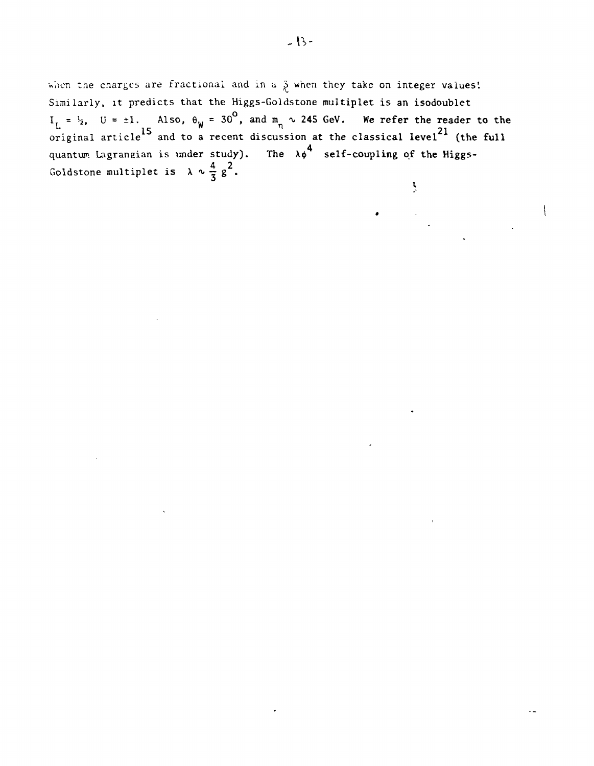when the charges are fractional and in a  $\frac{5}{6}$  when they take on integer values! **Similarly, it predicts that the Higgs-Goldstone multiplet is an isodoublet**  $I_{\rm r}$  =  $\frac{1}{2}$ , U =  $\pm 1$ . Also,  $\theta_{\rm w}$  = 30°, and m<sub>a</sub>  $\sim$  245 GeV. We refer the reader to the original article<sup>15</sup> and to a recent discussion at the classical level<sup>21</sup> (the full **4 quantum Lagrangian is under study).** The  $\lambda \phi$  self-coupling of the Higgs-Goldstone multiplet is  $\lambda \sim \frac{4}{7} g^2$ .  $\mathbf{I}$